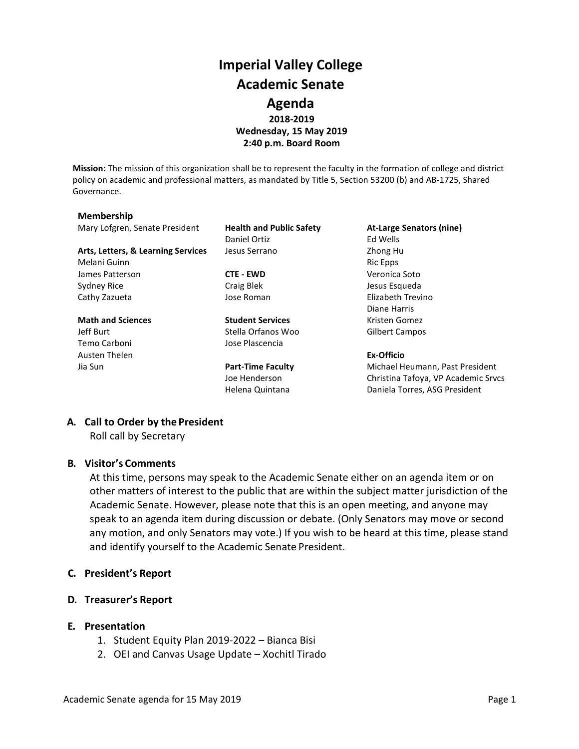# **Imperial Valley College Academic Senate Agenda 2018-2019 Wednesday, 15 May 2019 2:40 p.m. Board Room**

**Mission:** The mission of this organization shall be to represent the faculty in the formation of college and district policy on academic and professional matters, as mandated by Title 5, Section 53200 (b) and AB-1725, Shared Governance.

#### **Membership**

Mary Lofgren, Senate President **Health and Public Safety At-Large Senators (nine)**

Arts, Letters, & Learning Services Jesus Serrano **Zhong Human** Zhong Human Zhong Human Zhong Human Zhong Human Zhong Human Zhong Human Zhong Human Zhong Human Zhong Human Zhong Human Zhong Human Zhong Human Zhong Human Zho Melani Guinn **Ric Epps** and Ric Epps **Ric Epps Ric Epps** James Patterson **CTE - EWD** Veronica Soto Sydney Rice **Craig Blek** Craig Blek Jesus Esqueda Cathy Zazueta Jose Roman Elizabeth Trevino

Temo Carboni Jose Plascencia Austen Thelen **Ex-Officio**

Daniel Ortiz **Ed Wells** 

**Math and Sciences Student Services** Kristen Gomez Jeff Burt Stella Orfanos Woo Gilbert Campos

Diane Harris

Jia Sun **Part-Time Faculty** Michael Heumann, Past President Joe Henderson Christina Tafoya, VP Academic Srvcs Helena Quintana **Daniela Torres, ASG President** 

## **A. Call to Order by the President**

Roll call by Secretary

### **B. Visitor's Comments**

At this time, persons may speak to the Academic Senate either on an agenda item or on other matters of interest to the public that are within the subject matter jurisdiction of the Academic Senate. However, please note that this is an open meeting, and anyone may speak to an agenda item during discussion or debate. (Only Senators may move or second any motion, and only Senators may vote.) If you wish to be heard at this time, please stand and identify yourself to the Academic Senate President.

### **C. President's Report**

- **D. Treasurer's Report**
- **E. Presentation**
	- 1. Student Equity Plan 2019-2022 Bianca Bisi
	- 2. OEI and Canvas Usage Update Xochitl Tirado